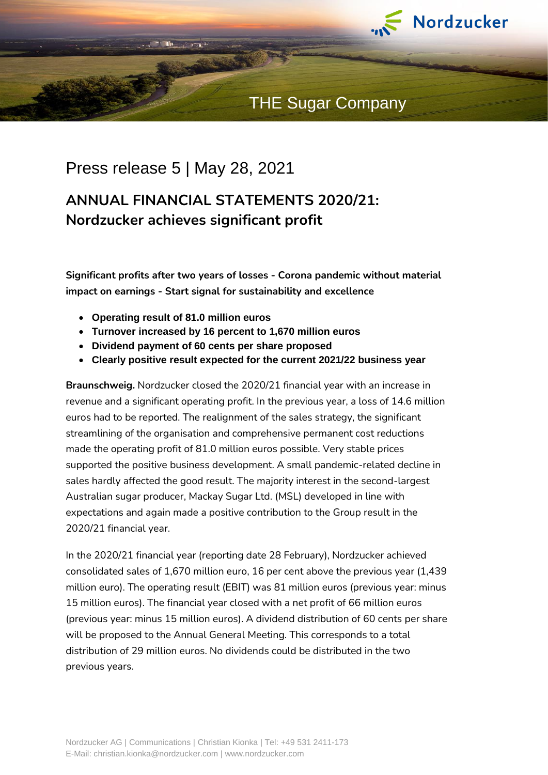

## THE Sugar Company

## Press release 5 | May 28, 2021

# **ANNUAL FINANCIAL STATEMENTS 2020/21: Nordzucker achieves significant profit**

**Significant profits after two years of losses - Corona pandemic without material impact on earnings - Start signal for sustainability and excellence**

- **Operating result of 81.0 million euros**
- **Turnover increased by 16 percent to 1,670 million euros**
- **Dividend payment of 60 cents per share proposed**
- **Clearly positive result expected for the current 2021/22 business year**

**Braunschweig.** Nordzucker closed the 2020/21 financial year with an increase in revenue and a significant operating profit. In the previous year, a loss of 14.6 million euros had to be reported. The realignment of the sales strategy, the significant streamlining of the organisation and comprehensive permanent cost reductions made the operating profit of 81.0 million euros possible. Very stable prices supported the positive business development. A small pandemic-related decline in sales hardly affected the good result. The majority interest in the second-largest Australian sugar producer, Mackay Sugar Ltd. (MSL) developed in line with expectations and again made a positive contribution to the Group result in the 2020/21 financial year.

In the 2020/21 financial year (reporting date 28 February), Nordzucker achieved consolidated sales of 1,670 million euro, 16 per cent above the previous year (1,439 million euro). The operating result (EBIT) was 81 million euros (previous year: minus 15 million euros). The financial year closed with a net profit of 66 million euros (previous year: minus 15 million euros). A dividend distribution of 60 cents per share will be proposed to the Annual General Meeting. This corresponds to a total distribution of 29 million euros. No dividends could be distributed in the two previous years.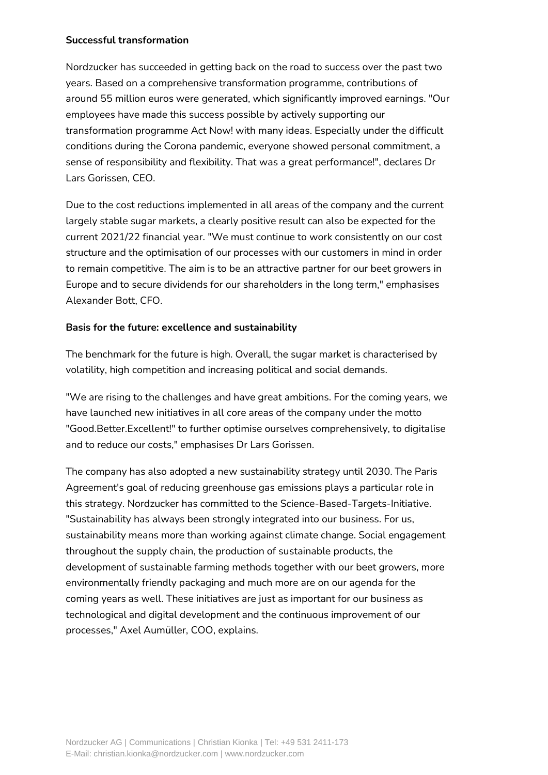### **Successful transformation**

Nordzucker has succeeded in getting back on the road to success over the past two years. Based on a comprehensive transformation programme, contributions of around 55 million euros were generated, which significantly improved earnings. "Our employees have made this success possible by actively supporting our transformation programme Act Now! with many ideas. Especially under the difficult conditions during the Corona pandemic, everyone showed personal commitment, a sense of responsibility and flexibility. That was a great performance!", declares Dr Lars Gorissen, CEO.

Due to the cost reductions implemented in all areas of the company and the current largely stable sugar markets, a clearly positive result can also be expected for the current 2021/22 financial year. "We must continue to work consistently on our cost structure and the optimisation of our processes with our customers in mind in order to remain competitive. The aim is to be an attractive partner for our beet growers in Europe and to secure dividends for our shareholders in the long term," emphasises Alexander Bott, CFO.

### **Basis for the future: excellence and sustainability**

The benchmark for the future is high. Overall, the sugar market is characterised by volatility, high competition and increasing political and social demands.

"We are rising to the challenges and have great ambitions. For the coming years, we have launched new initiatives in all core areas of the company under the motto "Good.Better.Excellent!" to further optimise ourselves comprehensively, to digitalise and to reduce our costs," emphasises Dr Lars Gorissen.

The company has also adopted a new sustainability strategy until 2030. The Paris Agreement's goal of reducing greenhouse gas emissions plays a particular role in this strategy. Nordzucker has committed to the Science-Based-Targets-Initiative. "Sustainability has always been strongly integrated into our business. For us, sustainability means more than working against climate change. Social engagement throughout the supply chain, the production of sustainable products, the development of sustainable farming methods together with our beet growers, more environmentally friendly packaging and much more are on our agenda for the coming years as well. These initiatives are just as important for our business as technological and digital development and the continuous improvement of our processes," Axel Aumüller, COO, explains.